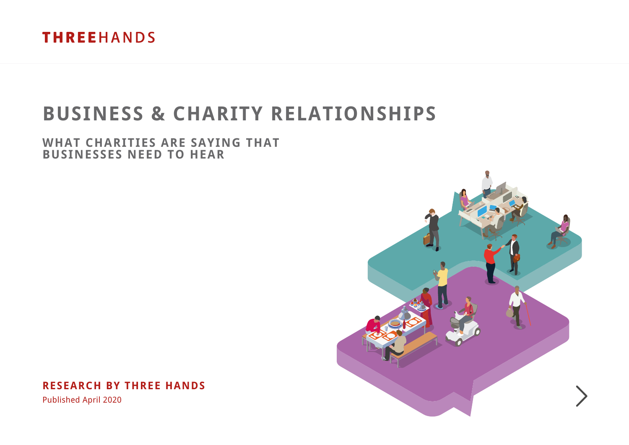

# **BUSINESS & CHARITY RELATIONSHIPS**

### **WHAT CHARITIES ARE SAYING THAT BUSINESSES NEED TO HEAR**

**RESEARCH BY THREE HANDS**

Published April 2020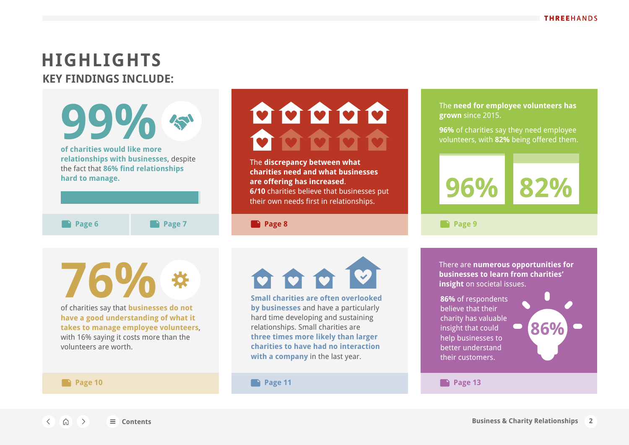## <span id="page-1-0"></span>**HIGHLIGHTS KEY FINDINGS INCLUDE:**

**99%** The **need for employee volunteers has**  OOOOO **grown** since 2015. **96%** of charities say they need employee volunteers, with **82%** being offered them. **of charities would like more relationships with businesses**, despite The **discrepancy between what**  the fact that **86% find relationships charities need and what businesses hard to manage. are offering has increased**. **96% 82% 6/10** charities believe that businesses put their own needs first in relationships. **Page 6 Page 7 Page 8 Page 9** There are **numerous opportunities for 76% businesses to learn from charities' insight** on societal issues. **Small charities are often overlooked 86%** of respondents of charities say that **businesses do not by businesses** and have a particularly believe that their hard time developing and sustaining **have a good understanding of what it**  charity has valuable **takes to manage employee volunteers**, relationships. Small charities are **86%** insight that could

**three times more likely than larger charities to have had no interaction with a company** in the last year.

with 16% saying it costs more than the volunteers are worth.

 $\langle \quad \text{in} \quad \rangle$ 

#### **Page 10 Page 11 Page 13**

help businesses to better understand their customers.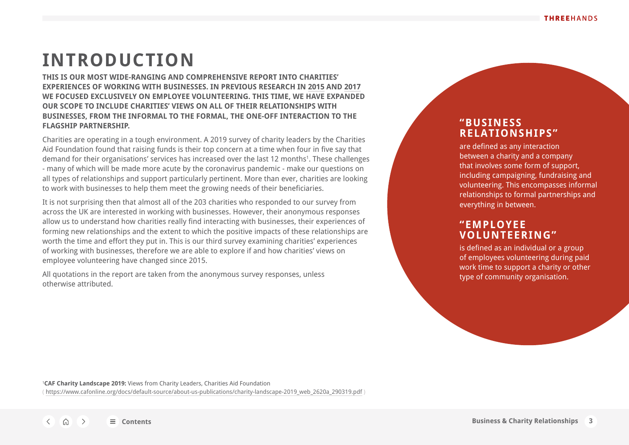## <span id="page-2-0"></span>**INTRODUCTION**

**THIS IS OUR MOST WIDE-RANGING AND COMPREHENSIVE REPORT INTO CHARITIES' EXPERIENCES OF WORKING WITH BUSINESSES. IN PREVIOUS RESEARCH IN 2015 AND 2017 WE FOCUSED EXCLUSIVELY ON EMPLOYEE VOLUNTEERING. THIS TIME, WE HAVE EXPANDED OUR SCOPE TO INCLUDE CHARITIES' VIEWS ON ALL OF THEIR RELATIONSHIPS WITH BUSINESSES, FROM THE INFORMAL TO THE FORMAL, THE ONE-OFF INTERACTION TO THE FLAGSHIP PARTNERSHIP.**

Charities are operating in a tough environment. A 2019 survey of charity leaders by the Charities Aid Foundation found that raising funds is their top concern at a time when four in five say that demand for their organisations' services has increased over the last 12 months<sup>1</sup>. These challenges - many of which will be made more acute by the coronavirus pandemic - make our questions on all types of relationships and support particularly pertinent. More than ever, charities are looking to work with businesses to help them meet the growing needs of their beneficiaries.

It is not surprising then that almost all of the 203 charities who responded to our survey from across the UK are interested in working with businesses. However, their anonymous responses allow us to understand how charities really find interacting with businesses, their experiences of forming new relationships and the extent to which the positive impacts of these relationships are worth the time and effort they put in. This is our third survey examining charities' experiences of working with businesses, therefore we are able to explore if and how charities' views on employee volunteering have changed since 2015.

All quotations in the report are taken from the anonymous survey responses, unless otherwise attributed.

### **"BUSINESS RELATIONSHIPS"**

are defined as any interaction between a charity and a company that involves some form of support, including campaigning, fundraising and volunteering. This encompasses informal relationships to formal partnerships and everything in between.

### **"EMPLOYEE VOLUNTEERING"**

is defined as an individual or a group of employees volunteering during paid work time to support a charity or other type of community organisation.

1 **CAF Charity Landscape 2019:** Views from Charity Leaders, Charities Aid Foundation ( https://www.cafonline.org/docs/default-source/about-us-publications/charity-landscape-2019\_web\_2620a\_290319.pdf )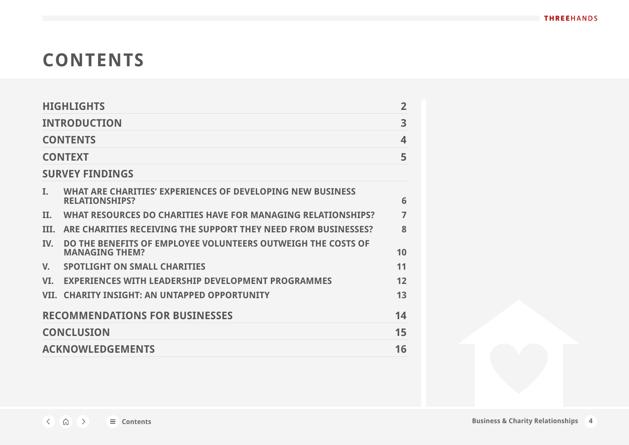# **CONTENTS**

|                                       | <b>HIGHLIGHTS</b>                                                                     | $\overline{2}$ |  |  |  |  |  |
|---------------------------------------|---------------------------------------------------------------------------------------|----------------|--|--|--|--|--|
| <b>INTRODUCTION</b>                   |                                                                                       |                |  |  |  |  |  |
| <b>CONTENTS</b>                       |                                                                                       |                |  |  |  |  |  |
| <b>CONTEXT</b>                        |                                                                                       |                |  |  |  |  |  |
| <b>SURVEY FINDINGS</b>                |                                                                                       |                |  |  |  |  |  |
| I.                                    | WHAT ARE CHARITIES' EXPERIENCES OF DEVELOPING NEW BUSINESS<br><b>RELATIONSHIPS?</b>   | 6              |  |  |  |  |  |
| Н.                                    | WHAT RESOURCES DO CHARITIES HAVE FOR MANAGING RELATIONSHIPS?                          | 7              |  |  |  |  |  |
| TIT.                                  | ARE CHARITIES RECEIVING THE SUPPORT THEY NEED FROM BUSINESSES?                        | 8              |  |  |  |  |  |
| TV.                                   | DO THE BENEFITS OF EMPLOYEE VOLUNTEERS OUTWEIGH THE COSTS OF<br><b>MANAGING THEM?</b> | 10             |  |  |  |  |  |
| V.                                    | <b>SPOTLIGHT ON SMALL CHARITIES</b>                                                   | 11             |  |  |  |  |  |
| VT.                                   | <b>EXPERIENCES WITH LEADERSHIP DEVELOPMENT PROGRAMMES</b>                             | 12             |  |  |  |  |  |
| VII.                                  | <b>CHARITY INSIGHT: AN UNTAPPED OPPORTUNITY</b>                                       | 13             |  |  |  |  |  |
| <b>RECOMMENDATIONS FOR BUSINESSES</b> |                                                                                       |                |  |  |  |  |  |
| <b>CONCLUSION</b>                     |                                                                                       |                |  |  |  |  |  |
| <b>ACKNOWLEDGEMENTS</b>               |                                                                                       |                |  |  |  |  |  |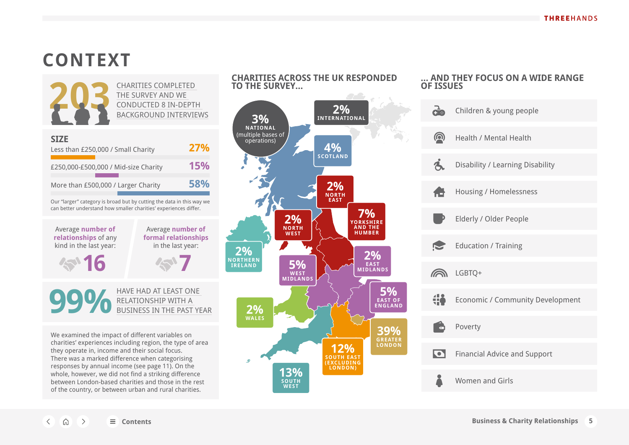# <span id="page-4-0"></span>**CONTEXT**



can better understand how smaller charities' experiences differ.

Average **number of relationships** of any kind in the last year:

1611

Average **number of formal relationships** in the last year:

**7**

HAVE HAD AT LEAST ONE RELATIONSHIP WITH A BUSINESS IN THE PAST YEAR **99%**

We examined the impact of different variables on charities' experiences including region, the type of area they operate in, income and their social focus. There was a marked difference when categorising responses by annual income (see page 11). On the whole, however, we did not find a striking difference between London-based charities and those in the rest of the country, or between urban and rural charities.



#### **… AND THEY FOCUS ON A WIDE RANGE OF ISSUES**

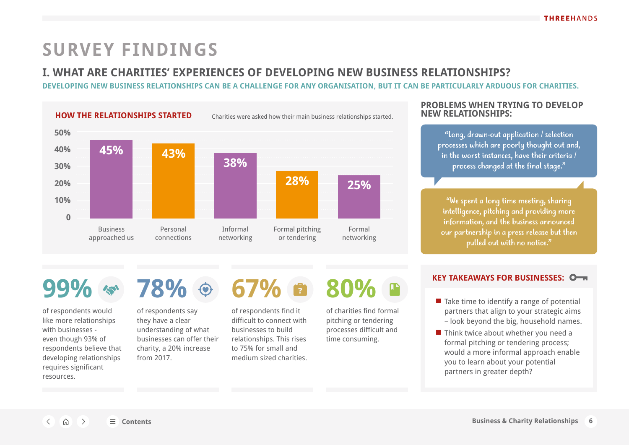## <span id="page-5-0"></span>**I. WHAT ARE CHARITIES' EXPERIENCES OF DEVELOPING NEW BUSINESS RELATIONSHIPS?**

**DEVELOPING NEW BUSINESS RELATIONSHIPS CAN BE A CHALLENGE FOR ANY ORGANISATION, BUT IT CAN BE PARTICULARLY ARDUOUS FOR CHARITIES.**



**PROBLEMS WHEN TRYING TO DEVELOP NEW RELATIONSHIPS:**

> "Long, drawn-out application / selection processes which are poorly thought out and, in the worst instances, have their criteria / process changed at the final stage."

"We spent a long time meeting, sharing intelligence, pitching and providing more information, and the business announced our partnership in a press release but then pulled out with no notice."

of respondents would like more relationships with businesses even though 93% of respondents believe that developing relationships requires significant resources.



of respondents say they have a clear understanding of what businesses can offer their charity, a 20% increase from 2017.

of respondents find it difficult to connect with businesses to build relationships. This rises to 75% for small and medium sized charities. of charities find formal

pitching or tendering processes difficult and time consuming.

### **KEY TAKEAWAYS FOR BUSINESSES:**

- Take time to identify a range of potential partners that align to your strategic aims – look beyond the big, household names.
- Think twice about whether you need a formal pitching or tendering process; would a more informal approach enable you to learn about your potential partners in greater depth?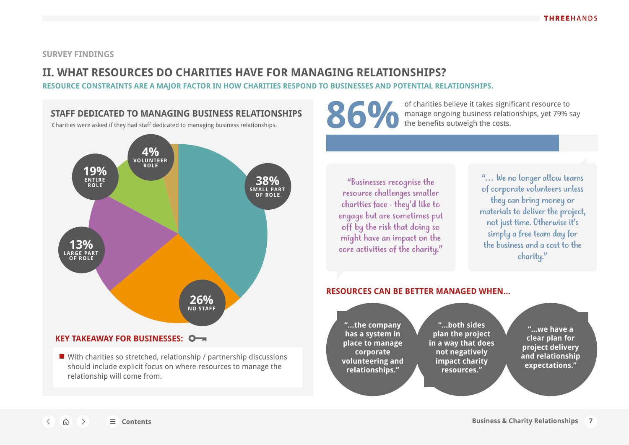### <span id="page-6-0"></span>**II. WHAT RESOURCES DO CHARITIES HAVE FOR MANAGING RELATIONSHIPS?**

**RESOURCE CONSTRAINTS ARE A MAJOR FACTOR IN HOW CHARITIES RESPOND TO BUSINESSES AND POTENTIAL RELATIONSHIPS.** 



### **KEY TAKEAWAY FOR BUSINESSES:**

■ With charities so stretched, relationship / partnership discussions should include explicit focus on where resources to manage the relationship will come from.



of charities believe it takes significant resource to manage ongoing business relationships, yet 79% say

"Businesses recognise the resource challenges smaller charities face - they'd like to engage but are sometimes put off by the risk that doing so might have an impact on the core activities of the charity."

"… We no longer allow teams of corporate volunteers unless they can bring money or materials to deliver the project, not just time. Otherwise it's simply a free team day for the business and a cost to the charity."

### **RESOURCES CAN BE BETTER MANAGED WHEN…**

**"…the company has a system in place to manage corporate volunteering and relationships." "…both sides plan the project in a way that does not negatively impact charity resources." "…we have a clear plan for project delivery and relationship expectations."**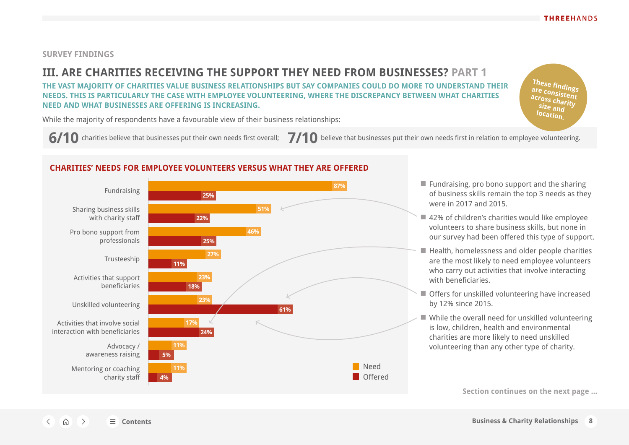**These findings are consistent across charity size and location.**

### <span id="page-7-0"></span>**SURVEY FINDINGS**

## **III. ARE CHARITIES RECEIVING THE SUPPORT THEY NEED FROM BUSINESSES? PART 1**

**THE VAST MAJORITY OF CHARITIES VALUE BUSINESS RELATIONSHIPS BUT SAY COMPANIES COULD DO MORE TO UNDERSTAND THEIR NEEDS. THIS IS PARTICULARLY THE CASE WITH EMPLOYEE VOLUNTEERING, WHERE THE DISCREPANCY BETWEEN WHAT CHARITIES NEED AND WHAT BUSINESSES ARE OFFERING IS INCREASING.** 

While the majority of respondents have a favourable view of their business relationships:

**6/10** charities believe that businesses put their own needs first overall; 7/10 believe that businesses put their own needs first in relation to employee volunteering.

### **CHARITIES' NEEDS FOR EMPLOYEE VOLUNTEERS VERSUS WHAT THEY ARE OFFERED**



- Fundraising, pro bono support and the sharing of business skills remain the top 3 needs as they were in 2017 and 2015.
- 42% of children's charities would like employee volunteers to share business skills, but none in our survey had been offered this type of support.
- Health, homelessness and older people charities are the most likely to need employee volunteers who carry out activities that involve interacting with beneficiaries.
- Offers for unskilled volunteering have increased by 12% since 2015.
- While the overall need for unskilled volunteering is low, children, health and environmental charities are more likely to need unskilled volunteering than any other type of charity.

**Section continues on the next page ...**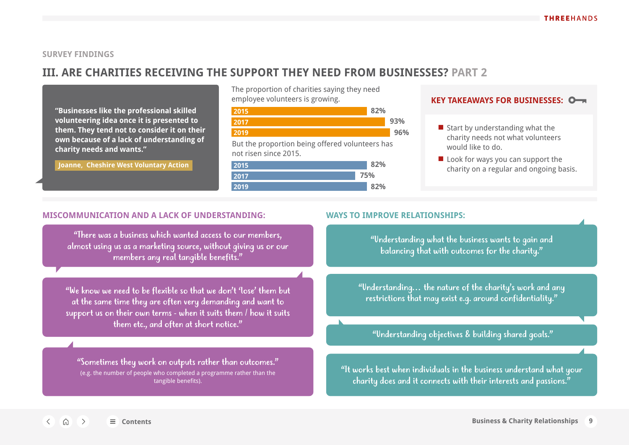### **III. ARE CHARITIES RECEIVING THE SUPPORT THEY NEED FROM BUSINESSES? PART 2**

**"Businesses like the professional skilled volunteering idea once it is presented to them. They tend not to consider it on their own because of a lack of understanding of charity needs and wants."**

 **Joanne, Cheshire West Voluntary Action** 

The proportion of charities saying they need employee volunteers is growing.



But the proportion being offered volunteers has not risen since 2015.

| 2015 |     |
|------|-----|
| 2017 | 75% |
| 2019 | ?%  |

### **KEY TAKEAWAYS FOR BUSINESSES:**

- Start by understanding what the charity needs not what volunteers would like to do.
- Look for ways you can support the charity on a regular and ongoing basis.

#### **MISCOMMUNICATION AND A LACK OF UNDERSTANDING: WAYS TO IMPROVE RELATIONSHIPS:**

"There was a business which wanted access to our members, almost using us as a marketing source, without giving us or our members any real tangible benefits."

"We know we need to be flexible so that we don't 'lose' them but at the same time they are often very demanding and want to support us on their own terms - when it suits them / how it suits them etc., and often at short notice."

"Sometimes they work on outputs rather than outcomes." (e.g. the number of people who completed a programme rather than the tangible benefits).

"Understanding what the business wants to gain and balancing that with outcomes for the charity."

"Understanding… the nature of the charity's work and any restrictions that may exist e.g. around confidentiality."

### "Understanding objectives & building shared goals."

"It works best when individuals in the business understand what your charity does and it connects with their interests and passions."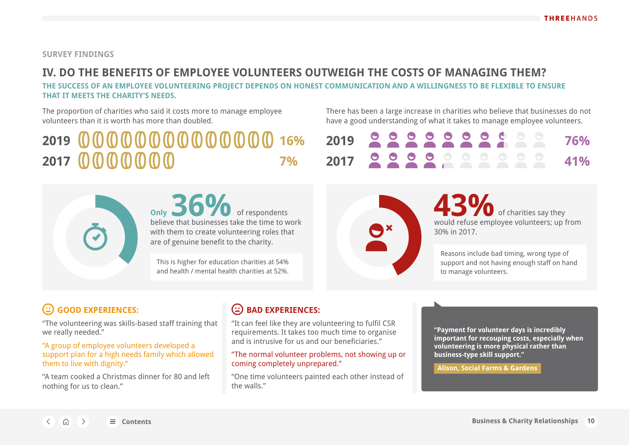## <span id="page-9-0"></span>**IV. DO THE BENEFITS OF EMPLOYEE VOLUNTEERS OUTWEIGH THE COSTS OF MANAGING THEM?**

**THE SUCCESS OF AN EMPLOYEE VOLUNTEERING PROJECT DEPENDS ON HONEST COMMUNICATION AND A WILLINGNESS TO BE FLEXIBLE TO ENSURE THAT IT MEETS THE CHARITY'S NEEDS.** 

The proportion of charities who said it costs more to manage employee volunteers than it is worth has more than doubled.

There has been a large increase in charities who believe that businesses do not have a good understanding of what it takes to manage employee volunteers.

## **2019 16% 2019 76% 2017 7% 2017 41%**

**Only** of respondents believe that businesses take the time to work with them to create volunteering roles that are of genuine benefit to the charity. **36%** of respondents **43%** 

This is higher for education charities at 54% and health / mental health charities at 52%.

|  |  |  |  |  | 2019 222222222 76% |
|--|--|--|--|--|--------------------|
|  |  |  |  |  | 2017 222222222 41% |



of charities say they would refuse employee volunteers; up from 30% in 2017.

Reasons include bad timing, wrong type of support and not having enough staff on hand to manage volunteers.

## **GOOD EXPERIENCES:**

"The volunteering was skills-based staff training that we really needed."

"A group of employee volunteers developed a support plan for a high needs family which allowed them to live with dignity."

"A team cooked a Christmas dinner for 80 and left nothing for us to clean."

### **(2) BAD EXPERIENCES:**

"It can feel like they are volunteering to fulfil CSR requirements. It takes too much time to organise and is intrusive for us and our beneficiaries."

"The normal volunteer problems, not showing up or coming completely unprepared."

"One time volunteers painted each other instead of the walls."

**"Payment for volunteer days is incredibly important for recouping costs, especially when volunteering is more physical rather than business-type skill support."**

 **Alison, Social Farms & Gardens**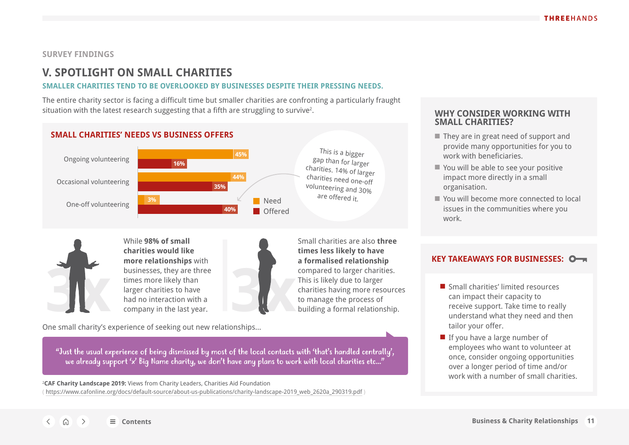### <span id="page-10-0"></span>**V. SPOTLIGHT ON SMALL CHARITIES**

#### **SMALLER CHARITIES TEND TO BE OVERLOOKED BY BUSINESSES DESPITE THEIR PRESSING NEEDS.**

The entire charity sector is facing a difficult time but smaller charities are confronting a particularly fraught situation with the latest research suggesting that a fifth are struggling to survive<sup>2</sup>.





**3x 3x** While **98% of small charities would like more relationships** with businesses, they are three times more likely than larger charities to have had no interaction with a company in the last year.



Small charities are also **three times less likely to have a formalised relationship** compared to larger charities. This is likely due to larger charities having more resources to manage the process of building a formal relationship.

One small charity's experience of seeking out new relationships…

"Just the usual experience of being dismissed by most of the local contacts with 'that's handled centrally', we already support 'x' Big Name charity, we don't have any plans to work with local charities etc..."

2 **CAF Charity Landscape 2019:** Views from Charity Leaders, Charities Aid Foundation ( https://www.cafonline.org/docs/default-source/about-us-publications/charity-landscape-2019\_web\_2620a\_290319.pdf )

### . **WHY CONSIDER WORKING WITH SMALL CHARITIES?**

- They are in great need of support and provide many opportunities for you to work with beneficiaries.
- You will be able to see your positive impact more directly in a small organisation.
- You will become more connected to local issues in the communities where you work.

### **KEY TAKEAWAYS FOR BUSINESSES:**

- Small charities' limited resources can impact their capacity to receive support. Take time to really understand what they need and then tailor your offer.
- If you have a large number of employees who want to volunteer at once, consider ongoing opportunities over a longer period of time and/or work with a number of small charities.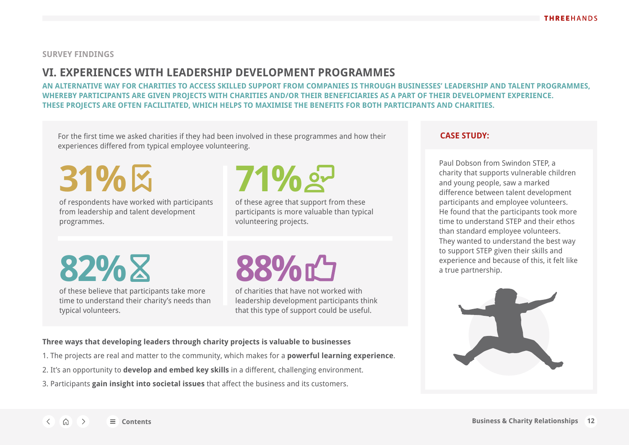## <span id="page-11-0"></span>**VI. EXPERIENCES WITH LEADERSHIP DEVELOPMENT PROGRAMMES**

**AN ALTERNATIVE WAY FOR CHARITIES TO ACCESS SKILLED SUPPORT FROM COMPANIES IS THROUGH BUSINESSES' LEADERSHIP AND TALENT PROGRAMMES, WHEREBY PARTICIPANTS ARE GIVEN PROJECTS WITH CHARITIES AND/OR THEIR BENEFICIARIES AS A PART OF THEIR DEVELOPMENT EXPERIENCE. THESE PROJECTS ARE OFTEN FACILITATED, WHICH HELPS TO MAXIMISE THE BENEFITS FOR BOTH PARTICIPANTS AND CHARITIES.**

For the first time we asked charities if they had been involved in these programmes and how their experiences differed from typical employee volunteering.

**31%**

of respondents have worked with participants from leadership and talent development programmes.

**71%**

of these agree that support from these participants is more valuable than typical volunteering projects.

**82%**

of these believe that participants take more time to understand their charity's needs than typical volunteers.

# **88%**

of charities that have not worked with leadership development participants think that this type of support could be useful.

#### **Three ways that developing leaders through charity projects is valuable to businesses**

- 1. The projects are real and matter to the community, which makes for a **powerful learning experience**.
- 2. It's an opportunity to **develop and embed key skills** in a different, challenging environment.
- 3. Participants **gain insight into societal issues** that affect the business and its customers.

### **CASE STUDY:**

Paul Dobson from Swindon STEP, a charity that supports vulnerable children and young people, saw a marked difference between talent development participants and employee volunteers. He found that the participants took more time to understand STEP and their ethos than standard employee volunteers. They wanted to understand the best way to support STEP given their skills and experience and because of this, it felt like a true partnership.

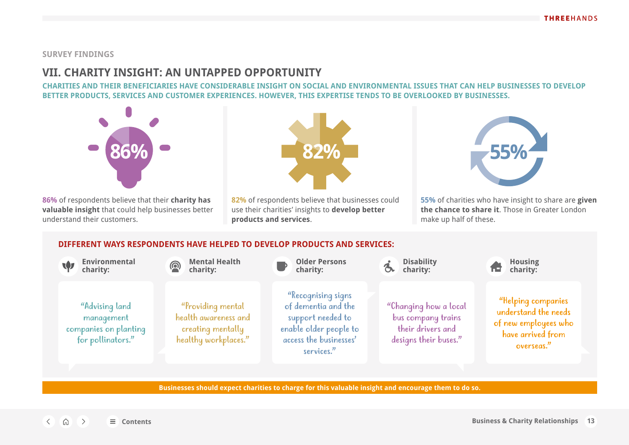### <span id="page-12-0"></span>**VII. CHARITY INSIGHT: AN UNTAPPED OPPORTUNITY**

**CHARITIES AND THEIR BENEFICIARIES HAVE CONSIDERABLE INSIGHT ON SOCIAL AND ENVIRONMENTAL ISSUES THAT CAN HELP BUSINESSES TO DEVELOP BETTER PRODUCTS, SERVICES AND CUSTOMER EXPERIENCES. HOWEVER, THIS EXPERTISE TENDS TO BE OVERLOOKED BY BUSINESSES.** 



**86%** of respondents believe that their **charity has valuable insight** that could help businesses better understand their customers.



**82%** of respondents believe that businesses could use their charities' insights to **develop better products and services**.



**55%** of charities who have insight to share are **given the chance to share it**. Those in Greater London make up half of these.

### **DIFFERENT WAYS RESPONDENTS HAVE HELPED TO DEVELOP PRODUCTS AND SERVICES:**



**Businesses should expect charities to charge for this valuable insight and encourage them to do so.**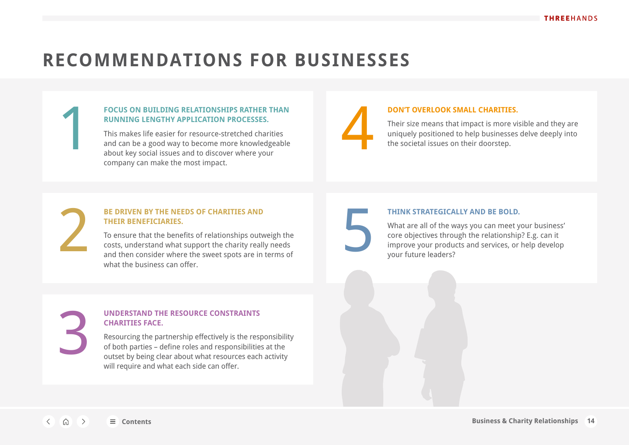## <span id="page-13-0"></span>**RECOMMENDATIONS FOR BUSINESSES**

### **FOCUS ON BUILDING RELATIONSHIPS RATHER THAN RUNNING LENGTHY APPLICATION PROCESSES.**

This makes life easier for resource-stretched charities and can be a good way to become more knowledgeable about key social issues and to discover where your company can make the most impact. FOCUS ON BUILDING RELATIONSHIPS RATHER THAN<br>
RUNNING LENGTHY APPLICATION PROCESSES.<br>
Their size means that impact is more visible and they are<br>
iniquely positioned to help businesses delve deeply into<br>
about key social iss

### **DON'T OVERLOOK SMALL CHARITIES.**

Their size means that impact is more visible and they are uniquely positioned to help businesses delve deeply into

### **BE DRIVEN BY THE NEEDS OF CHARITIES AND THEIR BENEFICIARIES.**

To ensure that the benefits of relationships outweigh the costs, understand what support the charity really needs and then consider where the sweet spots are in terms of what the business can offer. **BE DRIVEN BY THE NEEDS OF CHARITIES AND<br>
THEIR BENEFICIARIES.**<br>
To ensure that the benefits of relationships outweigh the<br>
costs, understand what support the charity really needs<br>
and then consider where the sweet spots a

#### **THINK STRATEGICALLY AND BE BOLD.**

What are all of the ways you can meet your business' core objectives through the relationship? E.g. can it improve your products and services, or help develop your future leaders?

3

### **UNDERSTAND THE RESOURCE CONSTRAINTS CHARITIES FACE.**

Resourcing the partnership effectively is the responsibility of both parties – define roles and responsibilities at the outset by being clear about what resources each activity will require and what each side can offer.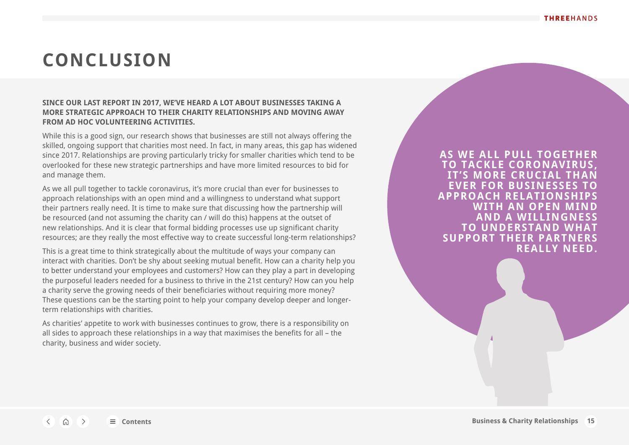## <span id="page-14-0"></span>**CONCLUSION**

### **SINCE OUR LAST REPORT IN 2017, WE'VE HEARD A LOT ABOUT BUSINESSES TAKING A MORE STRATEGIC APPROACH TO THEIR CHARITY RELATIONSHIPS AND MOVING AWAY FROM AD HOC VOLUNTEERING ACTIVITIES.**

While this is a good sign, our research shows that businesses are still not always offering the skilled, ongoing support that charities most need. In fact, in many areas, this gap has widened since 2017. Relationships are proving particularly tricky for smaller charities which tend to be overlooked for these new strategic partnerships and have more limited resources to bid for and manage them.

As we all pull together to tackle coronavirus, it's more crucial than ever for businesses to approach relationships with an open mind and a willingness to understand what support their partners really need. It is time to make sure that discussing how the partnership will be resourced (and not assuming the charity can / will do this) happens at the outset of new relationships. And it is clear that formal bidding processes use up significant charity resources; are they really the most effective way to create successful long-term relationships?

This is a great time to think strategically about the multitude of ways your company can interact with charities. Don't be shy about seeking mutual benefit. How can a charity help you to better understand your employees and customers? How can they play a part in developing the purposeful leaders needed for a business to thrive in the 21st century? How can you help a charity serve the growing needs of their beneficiaries without requiring more money? These questions can be the starting point to help your company develop deeper and longerterm relationships with charities.

As charities' appetite to work with businesses continues to grow, there is a responsibility on all sides to approach these relationships in a way that maximises the benefits for all – the charity, business and wider society.

**AS WE ALL PULL TOGETHER TO TACKLE CORONAVIRUS, IT'S MORE CRUCIAL TH EVER FOR BUSINESSES TO APPROACH RELATIONSHIPS AN OPEN AND A WILLINGNESS TUNDERSTAND SUPPORT THEIR REALLY NEED.**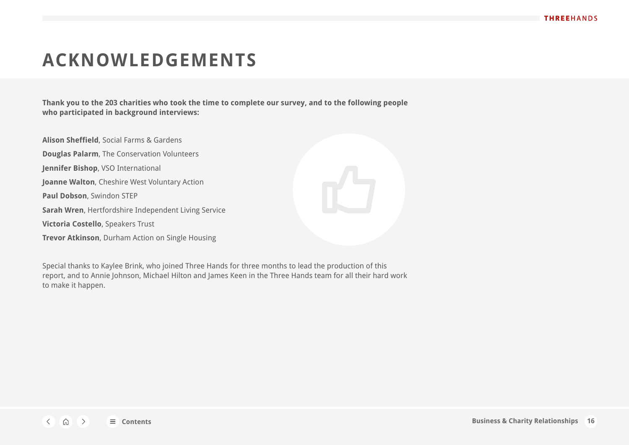## <span id="page-15-0"></span>**ACKNOWLEDGEMENTS**

**Thank you to the 203 charities who took the time to complete our survey, and to the following people who participated in background interviews:**

**Alison Sheffield**, Social Farms & Gardens **Douglas Palarm**, The Conservation Volunteers **Jennifer Bishop**, VSO International **Joanne Walton**, Cheshire West Voluntary Action **Paul Dobson**, Swindon STEP **Sarah Wren**, Hertfordshire Independent Living Service **Victoria Costello**, Speakers Trust **Trevor Atkinson**, Durham Action on Single Housing



Special thanks to Kaylee Brink, who joined Three Hands for three months to lead the production of this report, and to Annie Johnson, Michael Hilton and James Keen in the Three Hands team for all their hard work to make it happen.